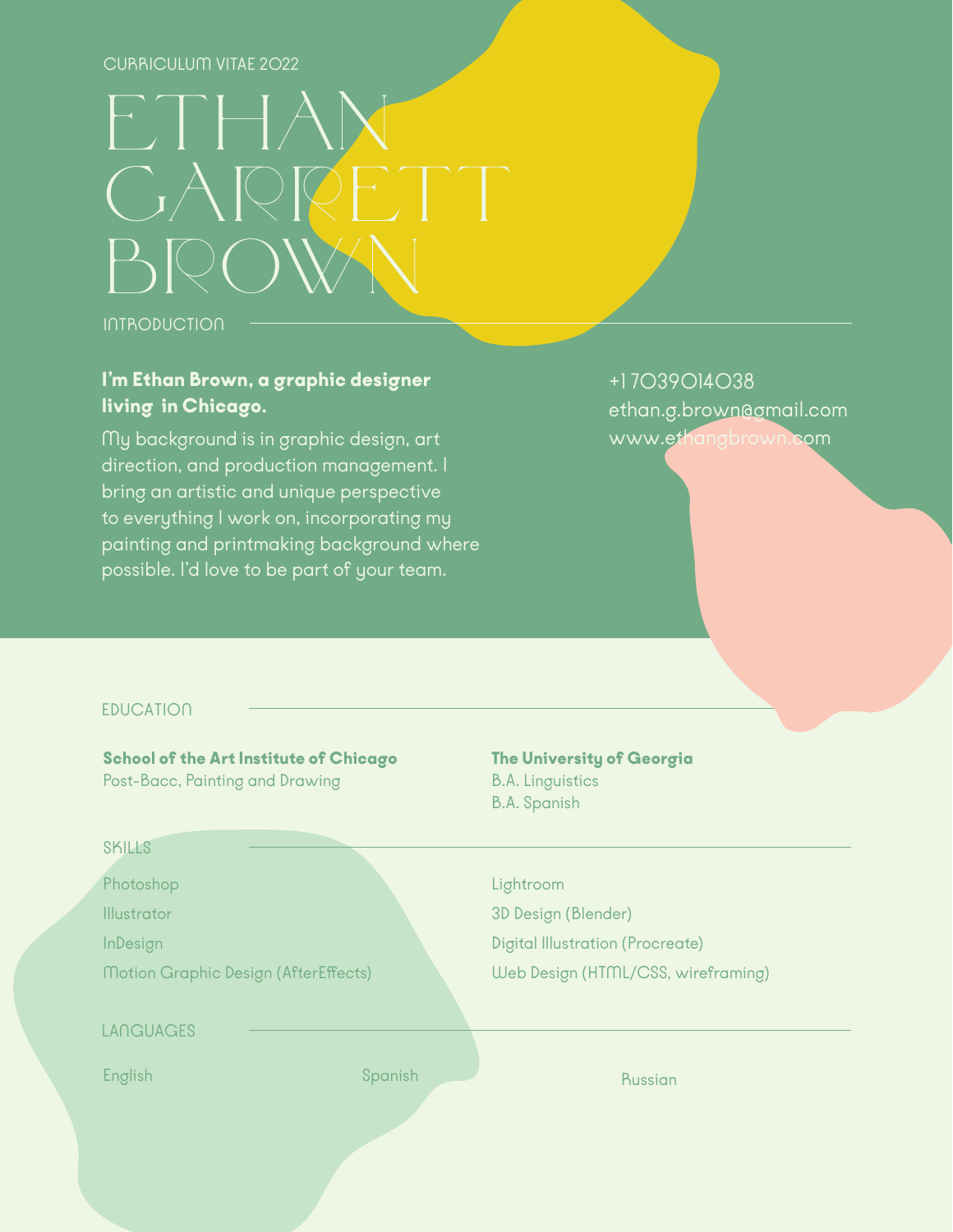# CURRICULUM VITAE 2022

# $\left[\begin{array}{c} \cdot \\ \cdot \end{array}\right] \cdot \left[\begin{array}{c} \cdot \\ \cdot \end{array}\right]$  $C_A$  $B\heartsuit$

**INTRODUCTION** 

# I'm Ethan Brown, a graphic designer living in Chicago.

My background is in graphic design, art direction, and production management. I bring an artistic and unique perspective to everything I work on, incorporating my painting and printmaking background where possible. I'd love to be part of your team.

+1 7039014038 ethan.g.brown@gmail.com www.ethangbrown.com

# **EDUCATION**

School of the Art Institute of Chicago Post-Bacc, Painting and Drawing

SKILLS

Photoshop

Illustrator

InDesign

Motion Graphic Design (AfterEffects)

## LANGUAGES

English Books and the Spanish Spanish Russian Russian

# The University of Georgia

B.A. Linguistics B.A. Spanish

# Lightroom

3D Design (Blender) Digital Illustration (Procreate) Web Design (HTML/CSS, wireframing)